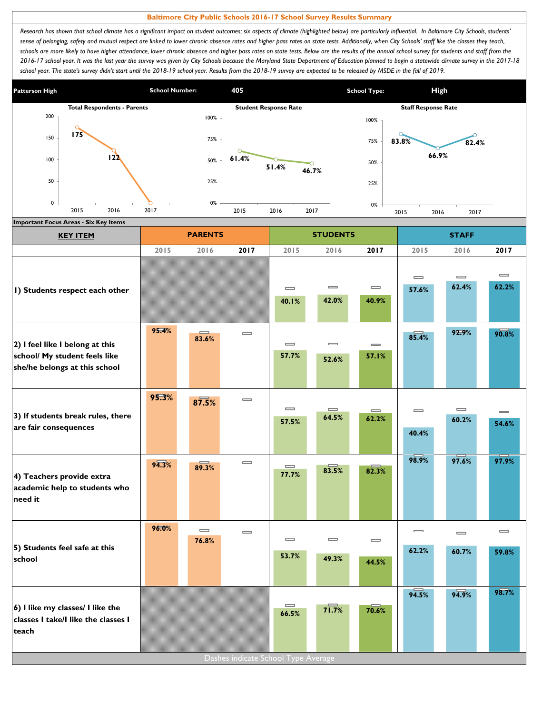## **Baltimore City Public Schools 2016-17 School Survey Results Summary**

Research has shown that school climate has a significant impact on student outcomes; six aspects of climate (highlighted below) are particularly influential. In Baltimore City Schools, students' sense of belonging, safety and mutual respect are linked to lower chronic absence rates and higher pass rates on state tests. Additionally, when City Schools' staff like the classes they teach, schools are more likely to have higher attendance, lower chronic absence and higher pass rates on state tests. Below are the results of the annual school survey for students and staff from the *2016-17 school year. It was the last year the survey was given by City Schools because the Maryland State Department of Education planned to begin a statewide climate survey in the 2017-18*  school year. The state's survey didn't start until the 2018-19 school year. Results from the 2018-19 survey are expected to be released by MSDE in the fall of 2019.



| <b>KEY ITEM</b>                                                                                   |       | <b>PARENTS</b>    |                                     |                                        | <b>STUDENTS</b>                       |                                       |                                       | <b>STAFF</b>                          |                   |
|---------------------------------------------------------------------------------------------------|-------|-------------------|-------------------------------------|----------------------------------------|---------------------------------------|---------------------------------------|---------------------------------------|---------------------------------------|-------------------|
|                                                                                                   | 2015  | 2016              | 2017                                | 2015                                   | 2016                                  | 2017                                  | 2015                                  | 2016                                  | 2017              |
| I) Students respect each other                                                                    |       |                   |                                     | $\qquad \qquad \blacksquare$<br>40.1%  | $\qquad \qquad \blacksquare$<br>42.0% | $\qquad \qquad \blacksquare$<br>40.9% | $\qquad \qquad \blacksquare$<br>57.6% | $\qquad \qquad \blacksquare$<br>62.4% | $\equiv$<br>62.2% |
| 2) I feel like I belong at this<br>school/ My student feels like<br>she/he belongs at this school | 95.4% | $\equiv$<br>83.6% | $\equiv$                            | $\qquad \qquad \blacksquare$<br>57.7%  | $\qquad \qquad \blacksquare$<br>52.6% | $\qquad \qquad \blacksquare$<br>57.1% | 85.4%                                 | 92.9%                                 | 90.8%             |
| 3) If students break rules, there<br>are fair consequences                                        | 95.3% | 87.5%             | $\qquad \qquad \blacksquare$        | $\qquad \qquad \qquad \qquad$<br>57.5% | $\equiv$<br>64.5%                     | $\qquad \qquad \blacksquare$<br>62.2% | $\qquad \qquad \blacksquare$<br>40.4% | $\equiv$<br>60.2%                     | $\equiv$<br>54.6% |
| 4) Teachers provide extra<br>academic help to students who<br>need it                             | 94.3% | 89.3%             | $\equiv$                            | $\qquad \qquad \blacksquare$<br>77.7%  | 83.5%                                 | 82.3%                                 | 98.9%                                 | 97.6%                                 | 97.9%             |
|                                                                                                   | 96.0% | $\equiv$          | $\qquad \qquad \blacksquare$        | $\qquad \qquad \blacksquare$           | $\equiv$                              | $\qquad \qquad \blacksquare$          | $\qquad \qquad \blacksquare$          | $\equiv$                              | $\equiv$          |
| 5) Students feel safe at this<br>school                                                           |       | 76.8%             |                                     | 53.7%                                  | 49.3%                                 | 44.5%                                 | 62.2%                                 | 60.7%                                 | 59.8%             |
| 6) I like my classes/ I like the<br>classes I take/I like the classes I<br>teach                  |       |                   | Dashes indicate School Type Average | $\qquad \qquad =$<br>66.5%             | $7\overline{1.7\%}$                   | 70.6%                                 | 94.5%                                 | 94.9%                                 | 98.7%             |